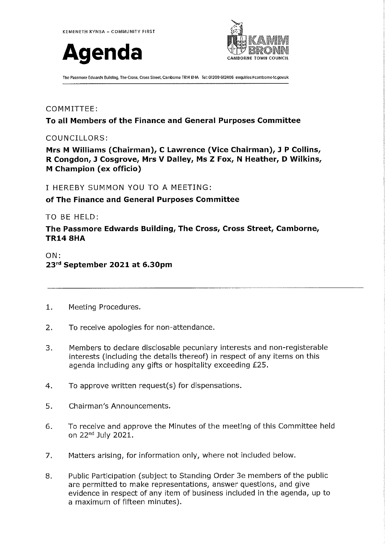



The Passmore Edwards Building, The Cross, Cross Street, Camborne TR14 8HA Tel: 01209 612406 enquiries@camborne-tc.gov.uk

# COMMITTEE:

#### To all Members of the Finance and General Purposes Committee

# COUNCILLORS:

Mrs M Williams (Chairman), C Lawrence (Vice Chairman), J P Collins, R Congdon, J Cosgrove, Mrs V Dalley, Ms Z Fox, N Heather, D Wilkins, **M** Champion (ex officio)

### I HEREBY SUMMON YOU TO A MEETING:

### of The Finance and General Purposes Committee

### TO BE HELD:

The Passmore Edwards Building, The Cross, Cross Street, Camborne, **TR14 8HA** 

# $ON:$ 23rd September 2021 at 6.30pm

- $1.$ Meeting Procedures.
- $2.$ To receive apologies for non-attendance.
- Members to declare disclosable pecuniary interests and non-registerable  $\overline{3}$ . interests (including the details thereof) in respect of any items on this agenda including any gifts or hospitality exceeding £25.
- 4. To approve written request(s) for dispensations.
- 5. Chairman's Announcements.
- To receive and approve the Minutes of the meeting of this Committee held 6. on 22<sup>nd</sup> July 2021.
- 7. Matters arising, for information only, where not included below.
- 8. Public Participation (subject to Standing Order 3e members of the public are permitted to make representations, answer questions, and give evidence in respect of any item of business included in the agenda, up to a maximum of fifteen minutes).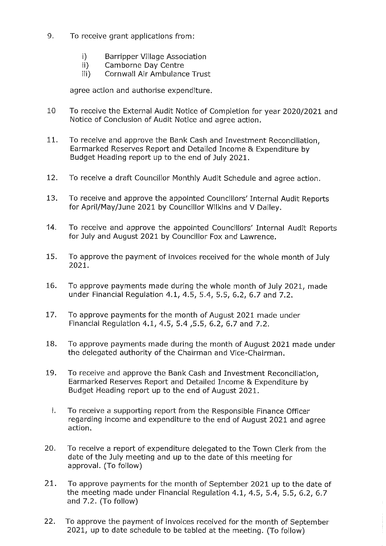- 9. To receive grant applications from:
	- $\mathbf{I}$ **Barripper Village Association**
	- $\mathbf{ii}$ Camborne Day Centre
	- $iii)$ Cornwall Air Ambulance Trust

agree action and authorise expenditure.

- 10 To receive the External Audit Notice of Completion for year 2020/2021 and Notice of Conclusion of Audit Notice and agree action.
- $11.$ To receive and approve the Bank Cash and Investment Reconciliation, Earmarked Reserves Report and Detailed Income & Expenditure by Budget Heading report up to the end of July 2021.
- $12.$ To receive a draft Councillor Monthly Audit Schedule and agree action.
- 13. To receive and approve the appointed Councillors' Internal Audit Reports for April/May/June 2021 by Councillor Wilkins and V Dalley.
- $14.$ To receive and approve the appointed Councillors' Internal Audit Reports for July and August 2021 by Councillor Fox and Lawrence.
- 15. To approve the payment of invoices received for the whole month of July 2021.
- 16. To approve payments made during the whole month of July 2021, made under Financial Regulation 4.1, 4.5, 5.4, 5.5, 6.2, 6.7 and 7.2.
- $17.$ To approve payments for the month of August 2021 made under Financial Regulation 4.1, 4.5, 5.4, 5.5, 6.2, 6.7 and 7.2.
- 18. To approve payments made during the month of August 2021 made under the delegated authority of the Chairman and Vice-Chairman.
- 19. To receive and approve the Bank Cash and Investment Reconciliation. Earmarked Reserves Report and Detailed Income & Expenditure by Budget Heading report up to the end of August 2021.
	- i. To receive a supporting report from the Responsible Finance Officer regarding income and expenditure to the end of August 2021 and agree action.
- 20. To receive a report of expenditure delegated to the Town Clerk from the date of the July meeting and up to the date of this meeting for approval. (To follow)
- 21. To approve payments for the month of September 2021 up to the date of the meeting made under Financial Regulation 4.1, 4.5, 5.4, 5.5, 6.2, 6.7 and 7.2. (To follow)
- $22.$ To approve the payment of invoices received for the month of September 2021, up to date schedule to be tabled at the meeting. (To follow)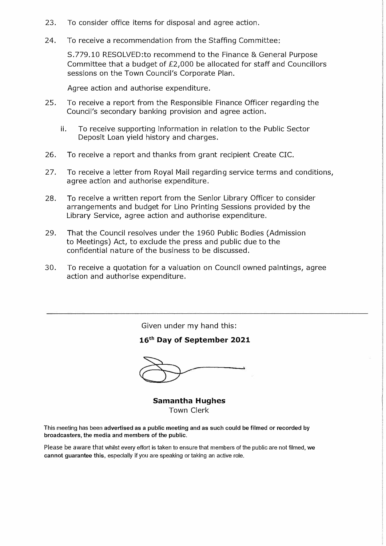- 23. To consider office items for disposal and agree action.
- 24. To receive a recommendation from the Staffing Committee:

S.779.10 RESOLVED:to recommend to the Finance & General Purpose Committee that a budget of £2,000 be allocated for staff and Councillors sessions on the Town Council's Corporate Plan.

Agree action and authorise expenditure.

- 25. To receive a report from the Responsible Finance Officer regarding the Council's secondary banking provision and agree action.
	- ii. To receive supporting information in relation to the Public Sector Deposit Loan yield history and charges.
- 26. To receive a report and thanks from grant recipient Create CIC.
- 27. To receive a letter from Royal Mail regarding service terms and conditions, agree action and authorise expenditure.
- 28. To receive a written report from the Senior Library Officer to consider arrangements and budget for Lino Printing Sessions provided by the Library Service, agree action and authorise expenditure.
- 29. That the Council resolves under the 1960 Public Bodies (Admission to Meetings) Act, to exclude the press and public due to the confidential nature of the business to be discussed.
- 30. To receive a quotation for a valuation on Council owned paintings, agree action and authorise expenditure.

Given under my hand this:

#### **16th Day of September 2021**

**Samantha Hughes**  Town Clerk

This meeting has been advertised as a public meeting and as such could be filmed or recorded by **broadcasters, the media and members of the public.** 

Please be aware that whilst every effort is taken to ensure that members of the public are not filmed, we cannot guarantee this, especially if you are speaking or taking an active role.